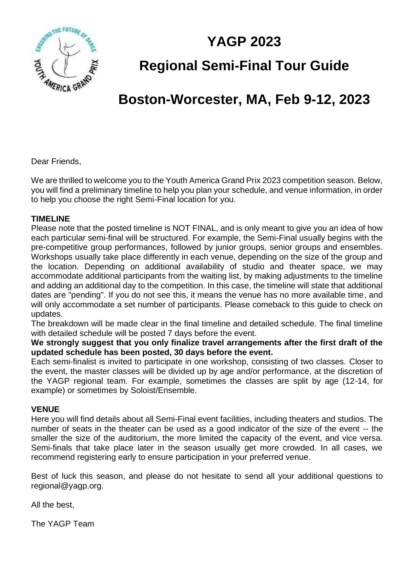**YAGP 2023**



**Regional Semi-Final Tour Guide**

## **Boston-Worcester, MA, Feb 9-12, 2023**

Dear Friends,

We are thrilled to welcome you to the Youth America Grand Prix 2023 competition season. Below, you will find a preliminary timeline to help you plan your schedule, and venue information, in order to help you choose the right Semi-Final location for you.

#### **TIMELINE**

Please note that the posted timeline is NOT FINAL, and is only meant to give you an idea of how each particular semi-final will be structured. For example, the Semi-Final usually begins with the pre-competitive group performances, followed by junior groups, senior groups and ensembles. Workshops usually take place differently in each venue, depending on the size of the group and the location. Depending on additional availability of studio and theater space, we may accommodate additional participants from the waiting list, by making adjustments to the timeline and adding an additional day to the competition. In this case, the timeline will state that additional dates are "pending". If you do not see this, it means the venue has no more available time, and will only accommodate a set number of participants. Please comeback to this guide to check on updates.

The breakdown will be made clear in the final timeline and detailed schedule. The final timeline with detailed schedule will be posted 7 days before the event.

**We strongly suggest that you only finalize travel arrangements after the first draft of the updated schedule has been posted, 30 days before the event.** 

Each semi-finalist is invited to participate in one workshop, consisting of two classes. Closer to the event, the master classes will be divided up by age and/or performance, at the discretion of the YAGP regional team. For example, sometimes the classes are split by age (12-14, for example) or sometimes by Soloist/Ensemble.

#### **VENUE**

Here you will find details about all Semi-Final event facilities, including theaters and studios. The number of seats in the theater can be used as a good indicator of the size of the event -- the smaller the size of the auditorium, the more limited the capacity of the event, and vice versa. Semi-finals that take place later in the season usually get more crowded. In all cases, we recommend registering early to ensure participation in your preferred venue.

Best of luck this season, and please do not hesitate to send all your additional questions to regional@yagp.org.

All the best,

The YAGP Team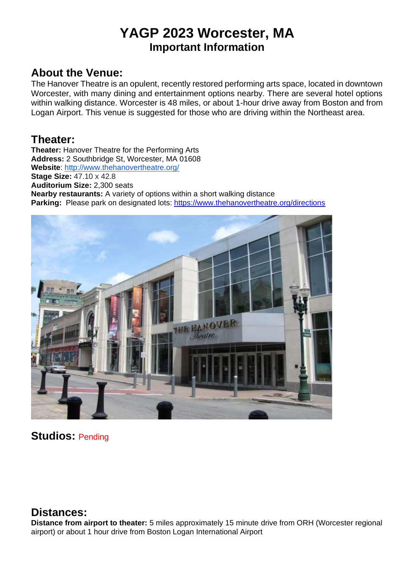## **YAGP 2023 Worcester, MA Important Information**

### **About the Venue:**

The Hanover Theatre is an opulent, recently restored performing arts space, located in downtown Worcester, with many dining and entertainment options nearby. There are several hotel options within walking distance. Worcester is 48 miles, or about 1-hour drive away from Boston and from Logan Airport. This venue is suggested for those who are driving within the Northeast area.

### **Theater:**

**Theater:** Hanover Theatre for the Performing Arts **Address:** 2 Southbridge St, Worcester, MA 01608 **Website**:<http://www.thehanovertheatre.org/> **Stage Size:** 47.10 x 42.8 **Auditorium Size:** 2,300 seats **Nearby restaurants:** A variety of options within a short walking distance **Parking:** Please park on designated lots:<https://www.thehanovertheatre.org/directions>



### **Studios:** Pending

### **Distances:**

**Distance from airport to theater:** 5 miles approximately 15 minute drive from ORH (Worcester regional airport) or about 1 hour drive from Boston Logan International Airport